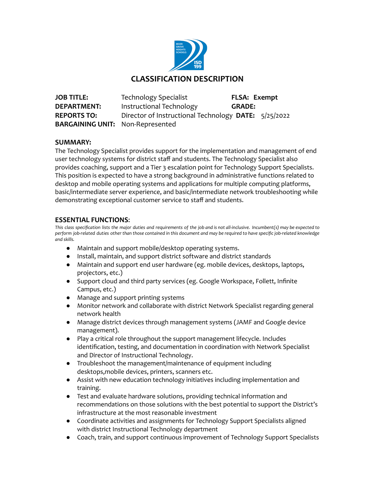

# **CLASSIFICATION DESCRIPTION**

**JOB TITLE:** Technology Specialist **FLSA: Exempt DEPARTMENT:** Instructional Technology **GRADE: REPORTS TO:** Director of Instructional Technology **DATE:** 5/25/2022 **BARGAINING UNIT:** Non-Represented

# **SUMMARY:**

The Technology Specialist provides support for the implementation and management of end user technology systems for district staff and students. The Technology Specialist also provides coaching, support and a Tier 3 escalation point for Technology Support Specialists. This position is expected to have a strong background in administrative functions related to desktop and mobile operating systems and applications for multiple computing platforms, basic/intermediate server experience, and basic/intermediate network troubleshooting while demonstrating exceptional customer service to staff and students.

# **ESSENTIAL FUNCTIONS**:

This class specification lists the major duties and requirements of the job and is not all-inclusive. Incumbent(s) may be expected to perform job-related duties other than those contained in this document and may be required to have specific job-related knowledge *and skills.*

- Maintain and support mobile/desktop operating systems.
- Install, maintain, and support district software and district standards
- Maintain and support end user hardware (eg. mobile devices, desktops, laptops, projectors, etc.)
- Support cloud and third party services (eg. Google Workspace, Follett, Infinite Campus, etc.)
- Manage and support printing systems
- Monitor network and collaborate with district Network Specialist regarding general network health
- Manage district devices through management systems (JAMF and Google device management).
- Play a critical role throughout the support management lifecycle. Includes identification, testing, and documentation in coordination with Network Specialist and Director of Instructional Technology.
- Troubleshoot the management/maintenance of equipment including desktops,mobile devices, printers, scanners etc.
- Assist with new education technology initiatives including implementation and training.
- Test and evaluate hardware solutions, providing technical information and recommendations on those solutions with the best potential to support the District's infrastructure at the most reasonable investment
- Coordinate activities and assignments for Technology Support Specialists aligned with district Instructional Technology department
- Coach, train, and support continuous improvement of Technology Support Specialists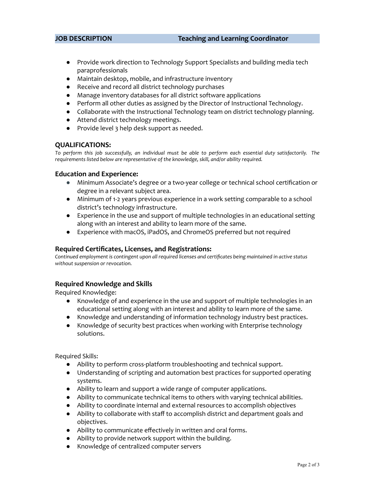- Provide work direction to Technology Support Specialists and building media tech paraprofessionals
- Maintain desktop, mobile, and infrastructure inventory
- Receive and record all district technology purchases
- Manage inventory databases for all district software applications
- Perform all other duties as assigned by the Director of Instructional Technology.
- Collaborate with the Instructional Technology team on district technology planning.
- Attend district technology meetings.
- Provide level 3 help desk support as needed.

#### **QUALIFICATIONS:**

To perform this job successfully, an individual must be able to perform each essential duty satisfactorily. The *requirements listed below are representative of the knowledge, skill, and/or ability required.*

#### **Education and Experience:**

- Minimum Associate's degree or a two-year college or technical school certification or degree in a relevant subject area.
- Minimum of 1-2 years previous experience in a work setting comparable to a school district's technology infrastructure.
- Experience in the use and support of multiple technologies in an educational setting along with an interest and ability to learn more of the same.
- Experience with macOS, iPadOS, and ChromeOS preferred but not required

## **Required Certificates, Licenses, and Registrations:**

*Continued employment is contingent upon all required licenses and certificates being maintained in active status without suspension or revocation.*

## **Required Knowledge and Skills**

Required Knowledge:

- Knowledge of and experience in the use and support of multiple technologies in an educational setting along with an interest and ability to learn more of the same.
- Knowledge and understanding of information technology industry best practices.
- Knowledge of security best practices when working with Enterprise technology solutions.

Required Skills:

- Ability to perform cross-platform troubleshooting and technical support.
- Understanding of scripting and automation best practices for supported operating systems.
- Ability to learn and support a wide range of computer applications.
- Ability to communicate technical items to others with varying technical abilities.
- Ability to coordinate internal and external resources to accomplish objectives
- Ability to collaborate with staff to accomplish district and department goals and objectives.
- Ability to communicate effectively in written and oral forms.
- Ability to provide network support within the building.
- Knowledge of centralized computer servers